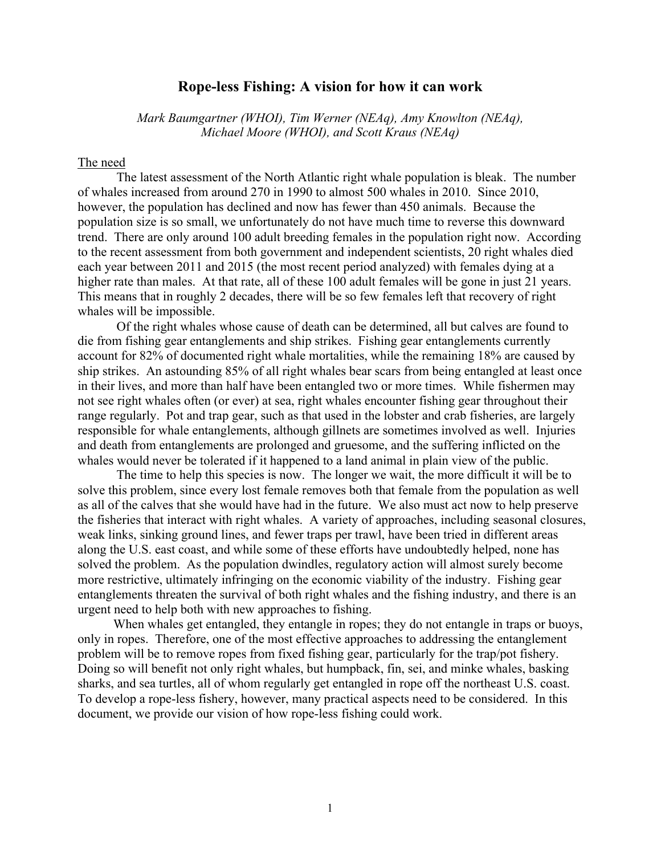# **Rope-less Fishing: A vision for how it can work**

*Mark Baumgartner (WHOI), Tim Werner (NEAq), Amy Knowlton (NEAq), Michael Moore (WHOI), and Scott Kraus (NEAq)*

# The need

The latest assessment of the North Atlantic right whale population is bleak. The number of whales increased from around 270 in 1990 to almost 500 whales in 2010. Since 2010, however, the population has declined and now has fewer than 450 animals. Because the population size is so small, we unfortunately do not have much time to reverse this downward trend. There are only around 100 adult breeding females in the population right now. According to the recent assessment from both government and independent scientists, 20 right whales died each year between 2011 and 2015 (the most recent period analyzed) with females dying at a higher rate than males. At that rate, all of these 100 adult females will be gone in just 21 years. This means that in roughly 2 decades, there will be so few females left that recovery of right whales will be impossible.

Of the right whales whose cause of death can be determined, all but calves are found to die from fishing gear entanglements and ship strikes. Fishing gear entanglements currently account for 82% of documented right whale mortalities, while the remaining 18% are caused by ship strikes. An astounding 85% of all right whales bear scars from being entangled at least once in their lives, and more than half have been entangled two or more times. While fishermen may not see right whales often (or ever) at sea, right whales encounter fishing gear throughout their range regularly. Pot and trap gear, such as that used in the lobster and crab fisheries, are largely responsible for whale entanglements, although gillnets are sometimes involved as well. Injuries and death from entanglements are prolonged and gruesome, and the suffering inflicted on the whales would never be tolerated if it happened to a land animal in plain view of the public.

The time to help this species is now. The longer we wait, the more difficult it will be to solve this problem, since every lost female removes both that female from the population as well as all of the calves that she would have had in the future. We also must act now to help preserve the fisheries that interact with right whales. A variety of approaches, including seasonal closures, weak links, sinking ground lines, and fewer traps per trawl, have been tried in different areas along the U.S. east coast, and while some of these efforts have undoubtedly helped, none has solved the problem. As the population dwindles, regulatory action will almost surely become more restrictive, ultimately infringing on the economic viability of the industry. Fishing gear entanglements threaten the survival of both right whales and the fishing industry, and there is an urgent need to help both with new approaches to fishing.

When whales get entangled, they entangle in ropes; they do not entangle in traps or buoys, only in ropes. Therefore, one of the most effective approaches to addressing the entanglement problem will be to remove ropes from fixed fishing gear, particularly for the trap/pot fishery. Doing so will benefit not only right whales, but humpback, fin, sei, and minke whales, basking sharks, and sea turtles, all of whom regularly get entangled in rope off the northeast U.S. coast. To develop a rope-less fishery, however, many practical aspects need to be considered. In this document, we provide our vision of how rope-less fishing could work.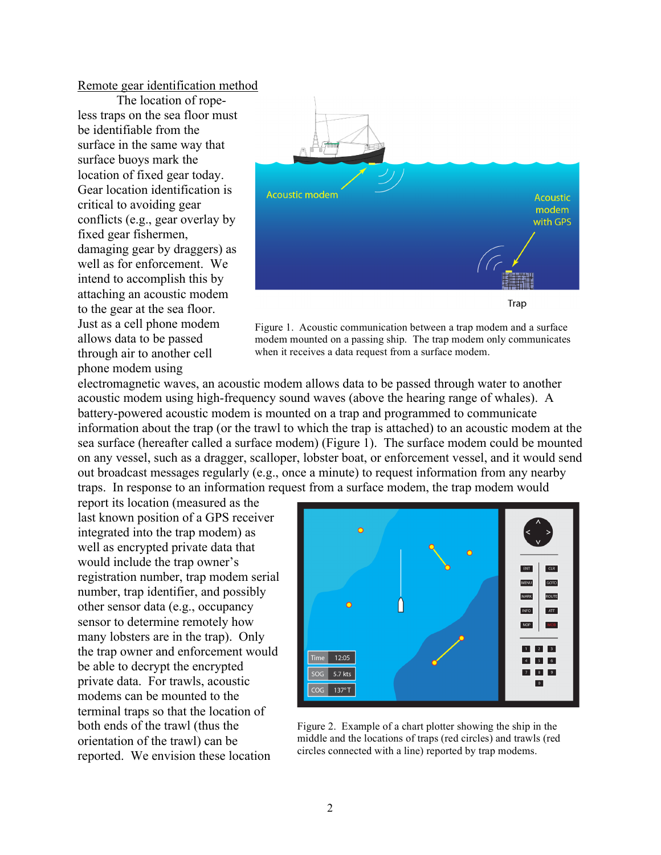### Remote gear identification method

The location of ropeless traps on the sea floor must be identifiable from the surface in the same way that surface buoys mark the location of fixed gear today. Gear location identification is critical to avoiding gear conflicts (e.g., gear overlay by fixed gear fishermen, damaging gear by draggers) as well as for enforcement. We intend to accomplish this by attaching an acoustic modem to the gear at the sea floor. Just as a cell phone modem allows data to be passed through air to another cell phone modem using



Figure 1. Acoustic communication between a trap modem and a surface modem mounted on a passing ship. The trap modem only communicates when it receives a data request from a surface modem.

electromagnetic waves, an acoustic modem allows data to be passed through water to another acoustic modem using high-frequency sound waves (above the hearing range of whales). A battery-powered acoustic modem is mounted on a trap and programmed to communicate information about the trap (or the trawl to which the trap is attached) to an acoustic modem at the sea surface (hereafter called a surface modem) (Figure 1). The surface modem could be mounted on any vessel, such as a dragger, scalloper, lobster boat, or enforcement vessel, and it would send out broadcast messages regularly (e.g., once a minute) to request information from any nearby traps. In response to an information request from a surface modem, the trap modem would

report its location (measured as the last known position of a GPS receiver integrated into the trap modem) as well as encrypted private data that would include the trap owner's registration number, trap modem serial number, trap identifier, and possibly other sensor data (e.g., occupancy sensor to determine remotely how many lobsters are in the trap). Only the trap owner and enforcement would be able to decrypt the encrypted private data. For trawls, acoustic modems can be mounted to the terminal traps so that the location of both ends of the trawl (thus the orientation of the trawl) can be reported. We envision these location



Figure 2. Example of a chart plotter showing the ship in the middle and the locations of traps (red circles) and trawls (red circles connected with a line) reported by trap modems.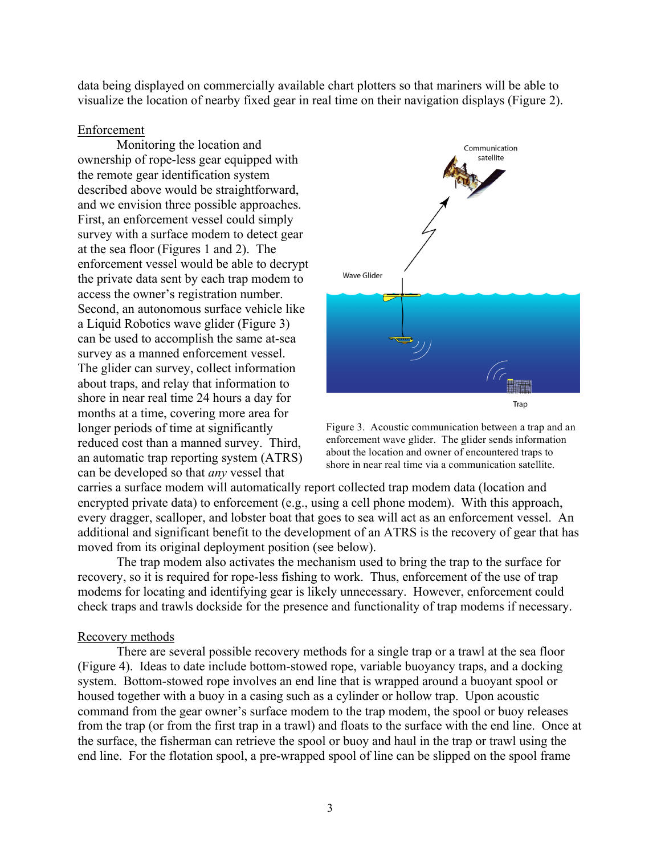data being displayed on commercially available chart plotters so that mariners will be able to visualize the location of nearby fixed gear in real time on their navigation displays (Figure 2).

### Enforcement

Monitoring the location and ownership of rope-less gear equipped with the remote gear identification system described above would be straightforward, and we envision three possible approaches. First, an enforcement vessel could simply survey with a surface modem to detect gear at the sea floor (Figures 1 and 2). The enforcement vessel would be able to decrypt the private data sent by each trap modem to access the owner's registration number. Second, an autonomous surface vehicle like a Liquid Robotics wave glider (Figure 3) can be used to accomplish the same at-sea survey as a manned enforcement vessel. The glider can survey, collect information about traps, and relay that information to shore in near real time 24 hours a day for months at a time, covering more area for longer periods of time at significantly reduced cost than a manned survey. Third, an automatic trap reporting system (ATRS) can be developed so that *any* vessel that



Figure 3. Acoustic communication between a trap and an enforcement wave glider. The glider sends information about the location and owner of encountered traps to shore in near real time via a communication satellite.

carries a surface modem will automatically report collected trap modem data (location and encrypted private data) to enforcement (e.g., using a cell phone modem). With this approach, every dragger, scalloper, and lobster boat that goes to sea will act as an enforcement vessel. An additional and significant benefit to the development of an ATRS is the recovery of gear that has moved from its original deployment position (see below).

The trap modem also activates the mechanism used to bring the trap to the surface for recovery, so it is required for rope-less fishing to work. Thus, enforcement of the use of trap modems for locating and identifying gear is likely unnecessary. However, enforcement could check traps and trawls dockside for the presence and functionality of trap modems if necessary.

#### Recovery methods

There are several possible recovery methods for a single trap or a trawl at the sea floor (Figure 4). Ideas to date include bottom-stowed rope, variable buoyancy traps, and a docking system. Bottom-stowed rope involves an end line that is wrapped around a buoyant spool or housed together with a buoy in a casing such as a cylinder or hollow trap. Upon acoustic command from the gear owner's surface modem to the trap modem, the spool or buoy releases from the trap (or from the first trap in a trawl) and floats to the surface with the end line. Once at the surface, the fisherman can retrieve the spool or buoy and haul in the trap or trawl using the end line. For the flotation spool, a pre-wrapped spool of line can be slipped on the spool frame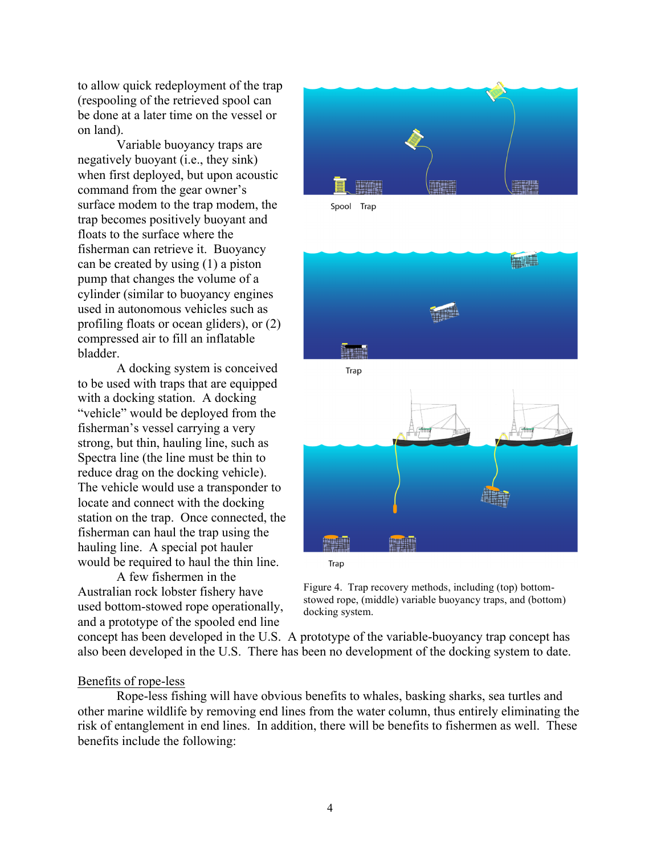to allow quick redeployment of the trap (respooling of the retrieved spool can be done at a later time on the vessel or on land).

Variable buoyancy traps are negatively buoyant (i.e., they sink) when first deployed, but upon acoustic command from the gear owner's surface modem to the trap modem, the trap becomes positively buoyant and floats to the surface where the fisherman can retrieve it. Buoyancy can be created by using (1) a piston pump that changes the volume of a cylinder (similar to buoyancy engines used in autonomous vehicles such as profiling floats or ocean gliders), or (2) compressed air to fill an inflatable bladder.

A docking system is conceived to be used with traps that are equipped with a docking station. A docking "vehicle" would be deployed from the fisherman's vessel carrying a very strong, but thin, hauling line, such as Spectra line (the line must be thin to reduce drag on the docking vehicle). The vehicle would use a transponder to locate and connect with the docking station on the trap. Once connected, the fisherman can haul the trap using the hauling line. A special pot hauler would be required to haul the thin line.

A few fishermen in the Australian rock lobster fishery have used bottom-stowed rope operationally, and a prototype of the spooled end line



Spool Trap



Trap

Figure 4. Trap recovery methods, including (top) bottomstowed rope, (middle) variable buoyancy traps, and (bottom) docking system.

concept has been developed in the U.S. A prototype of the variable-buoyancy trap concept has also been developed in the U.S. There has been no development of the docking system to date.

## Benefits of rope-less

Rope-less fishing will have obvious benefits to whales, basking sharks, sea turtles and other marine wildlife by removing end lines from the water column, thus entirely eliminating the risk of entanglement in end lines. In addition, there will be benefits to fishermen as well. These benefits include the following: